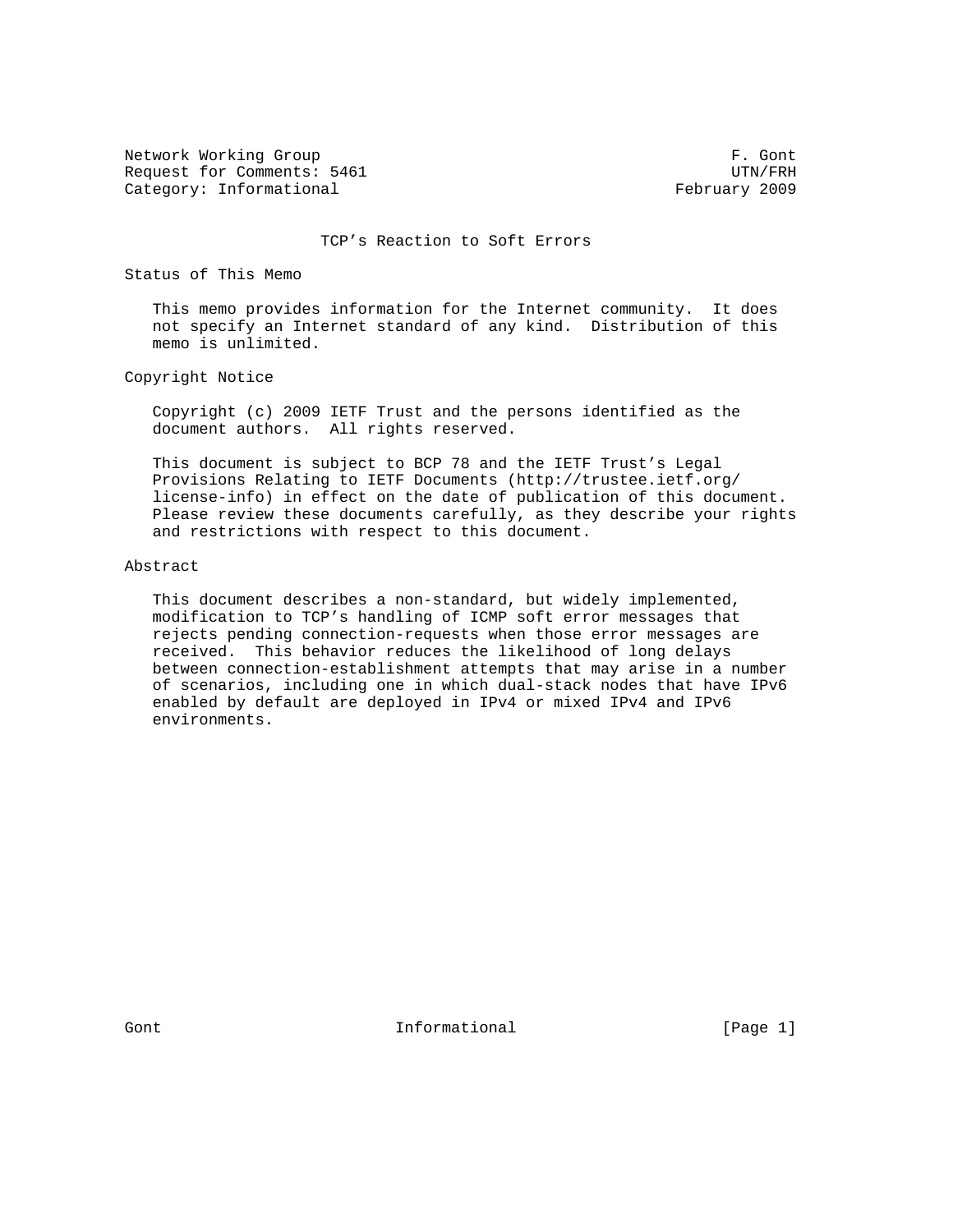Network Working Group **F. Gont** Request for Comments: 5461 UTN/FRH Category: Informational example of the example of the February 2009

TCP's Reaction to Soft Errors

Status of This Memo

 This memo provides information for the Internet community. It does not specify an Internet standard of any kind. Distribution of this memo is unlimited.

Copyright Notice

 Copyright (c) 2009 IETF Trust and the persons identified as the document authors. All rights reserved.

 This document is subject to BCP 78 and the IETF Trust's Legal Provisions Relating to IETF Documents (http://trustee.ietf.org/ license-info) in effect on the date of publication of this document. Please review these documents carefully, as they describe your rights and restrictions with respect to this document.

#### Abstract

 This document describes a non-standard, but widely implemented, modification to TCP's handling of ICMP soft error messages that rejects pending connection-requests when those error messages are received. This behavior reduces the likelihood of long delays between connection-establishment attempts that may arise in a number of scenarios, including one in which dual-stack nodes that have IPv6 enabled by default are deployed in IPv4 or mixed IPv4 and IPv6 environments.

Gont Communicational Theorem Communication (Page 1)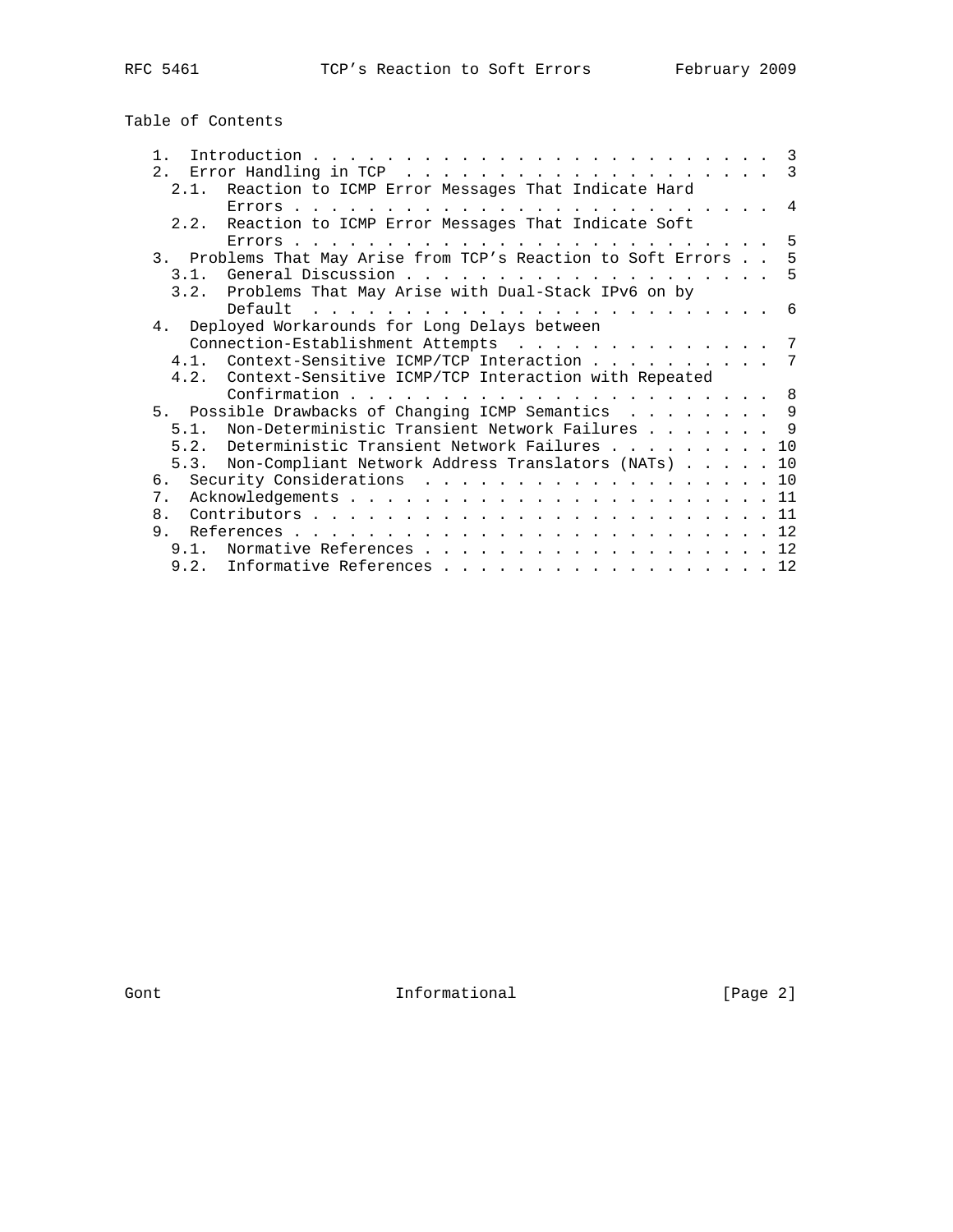Table of Contents

| $\mathbf{1}$   |                                                                 | -3  |
|----------------|-----------------------------------------------------------------|-----|
| 2.1            |                                                                 | - 3 |
|                | 2.1. Reaction to ICMP Error Messages That Indicate Hard         |     |
|                |                                                                 | 4   |
| 2.2.           | Reaction to ICMP Error Messages That Indicate Soft              |     |
|                |                                                                 | -5  |
|                | 3. Problems That May Arise from TCP's Reaction to Soft Errors 5 |     |
| 3.1.           | - 5                                                             |     |
| 3.2.           | Problems That May Arise with Dual-Stack IPv6 on by              |     |
|                | Default                                                         | - 6 |
|                | 4. Deployed Workarounds for Long Delays between                 |     |
|                | Connection-Establishment Attempts                               | 7   |
|                | 4.1. Context-Sensitive ICMP/TCP Interaction 7                   |     |
|                | 4.2. Context-Sensitive ICMP/TCP Interaction with Repeated       |     |
|                | Confirmation.<br>- 8                                            |     |
|                | 5. Possible Drawbacks of Changing ICMP Semantics 9              |     |
| 5 1            | Non-Deterministic Transient Network Failures 9                  |     |
|                | 5.2. Deterministic Transient Network Failures<br>10             |     |
| 5.3.           | Non-Compliant Network Address Translators (NATs)<br>10          |     |
| რ.             | 10                                                              |     |
| 7.             | 11                                                              |     |
| 8 <sub>1</sub> | 11                                                              |     |
| 9.             | References.                                                     |     |
| $9.1$ .        | 12                                                              |     |
|                | 9.2. Informative References 12                                  |     |

Gont Informational [Page 2]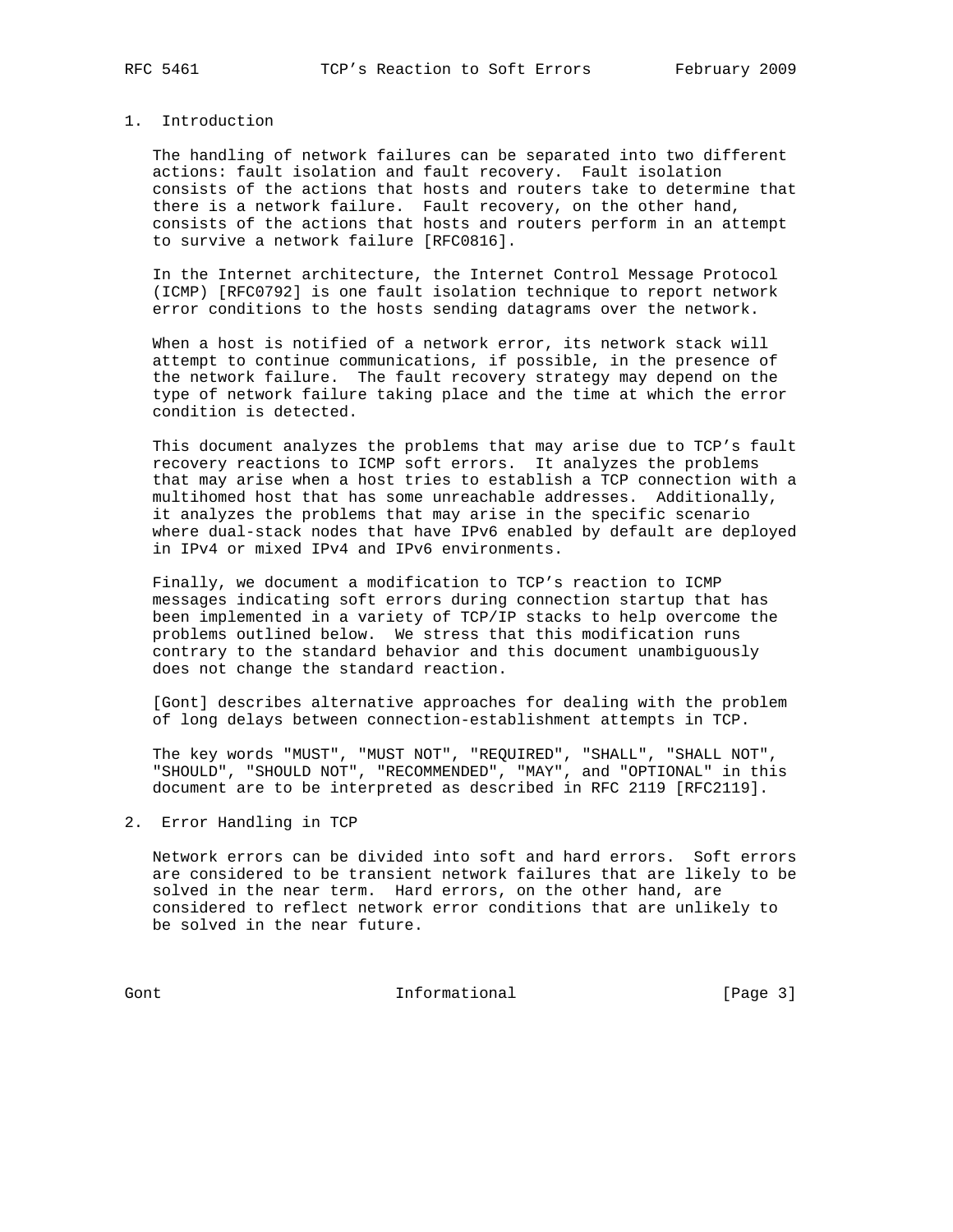## 1. Introduction

 The handling of network failures can be separated into two different actions: fault isolation and fault recovery. Fault isolation consists of the actions that hosts and routers take to determine that there is a network failure. Fault recovery, on the other hand, consists of the actions that hosts and routers perform in an attempt to survive a network failure [RFC0816].

 In the Internet architecture, the Internet Control Message Protocol (ICMP) [RFC0792] is one fault isolation technique to report network error conditions to the hosts sending datagrams over the network.

 When a host is notified of a network error, its network stack will attempt to continue communications, if possible, in the presence of the network failure. The fault recovery strategy may depend on the type of network failure taking place and the time at which the error condition is detected.

 This document analyzes the problems that may arise due to TCP's fault recovery reactions to ICMP soft errors. It analyzes the problems that may arise when a host tries to establish a TCP connection with a multihomed host that has some unreachable addresses. Additionally, it analyzes the problems that may arise in the specific scenario where dual-stack nodes that have IPv6 enabled by default are deployed in IPv4 or mixed IPv4 and IPv6 environments.

 Finally, we document a modification to TCP's reaction to ICMP messages indicating soft errors during connection startup that has been implemented in a variety of TCP/IP stacks to help overcome the problems outlined below. We stress that this modification runs contrary to the standard behavior and this document unambiguously does not change the standard reaction.

 [Gont] describes alternative approaches for dealing with the problem of long delays between connection-establishment attempts in TCP.

 The key words "MUST", "MUST NOT", "REQUIRED", "SHALL", "SHALL NOT", "SHOULD", "SHOULD NOT", "RECOMMENDED", "MAY", and "OPTIONAL" in this document are to be interpreted as described in RFC 2119 [RFC2119].

2. Error Handling in TCP

 Network errors can be divided into soft and hard errors. Soft errors are considered to be transient network failures that are likely to be solved in the near term. Hard errors, on the other hand, are considered to reflect network error conditions that are unlikely to be solved in the near future.

Gont **Informational Informational** [Page 3]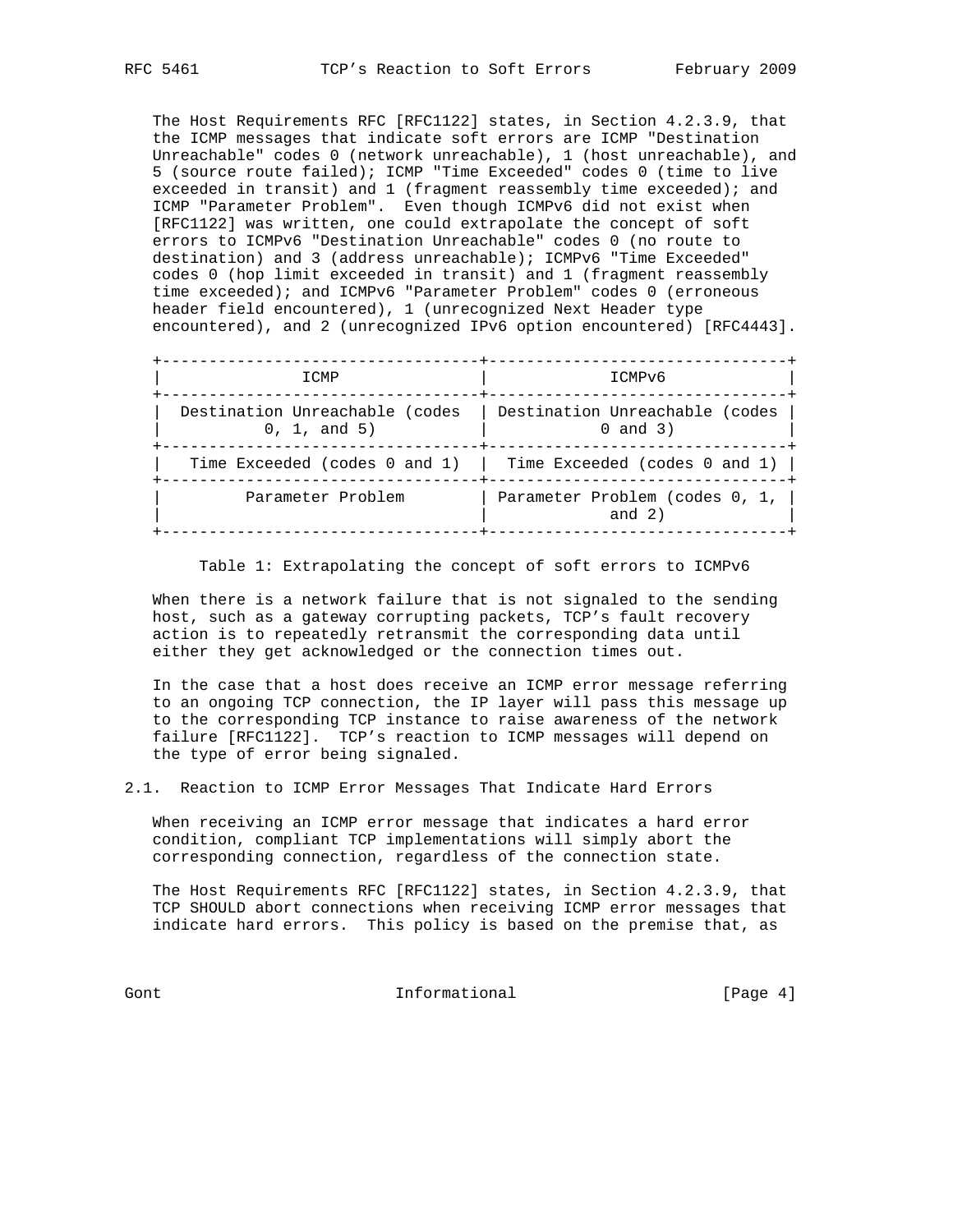The Host Requirements RFC [RFC1122] states, in Section 4.2.3.9, that the ICMP messages that indicate soft errors are ICMP "Destination Unreachable" codes 0 (network unreachable), 1 (host unreachable), and 5 (source route failed); ICMP "Time Exceeded" codes 0 (time to live exceeded in transit) and 1 (fragment reassembly time exceeded); and ICMP "Parameter Problem". Even though ICMPv6 did not exist when [RFC1122] was written, one could extrapolate the concept of soft errors to ICMPv6 "Destination Unreachable" codes 0 (no route to destination) and 3 (address unreachable); ICMPv6 "Time Exceeded" codes 0 (hop limit exceeded in transit) and 1 (fragment reassembly time exceeded); and ICMPv6 "Parameter Problem" codes 0 (erroneous header field encountered), 1 (unrecognized Next Header type encountered), and 2 (unrecognized IPv6 option encountered) [RFC4443].

 +----------------------------------+--------------------------------+  $ICMP$  | ICMPv6 +----------------------------------+--------------------------------+ | Destination Unreachable (codes | Destination Unreachable (codes |  $(0, 1, and 5)$   $(0, 1, 0)$   $(1, 0, 0)$   $(0, 0, 0)$  +----------------------------------+--------------------------------+ | Time Exceeded (codes 0 and 1) | Time Exceeded (codes 0 and 1) | +----------------------------------+--------------------------------+ | Parameter Problem | Parameter Problem (codes 0, 1, | | | and 2) | +----------------------------------+--------------------------------+

Table 1: Extrapolating the concept of soft errors to ICMPv6

 When there is a network failure that is not signaled to the sending host, such as a gateway corrupting packets, TCP's fault recovery action is to repeatedly retransmit the corresponding data until either they get acknowledged or the connection times out.

 In the case that a host does receive an ICMP error message referring to an ongoing TCP connection, the IP layer will pass this message up to the corresponding TCP instance to raise awareness of the network failure [RFC1122]. TCP's reaction to ICMP messages will depend on the type of error being signaled.

2.1. Reaction to ICMP Error Messages That Indicate Hard Errors

 When receiving an ICMP error message that indicates a hard error condition, compliant TCP implementations will simply abort the corresponding connection, regardless of the connection state.

 The Host Requirements RFC [RFC1122] states, in Section 4.2.3.9, that TCP SHOULD abort connections when receiving ICMP error messages that indicate hard errors. This policy is based on the premise that, as

Gont **Informational Informational** [Page 4]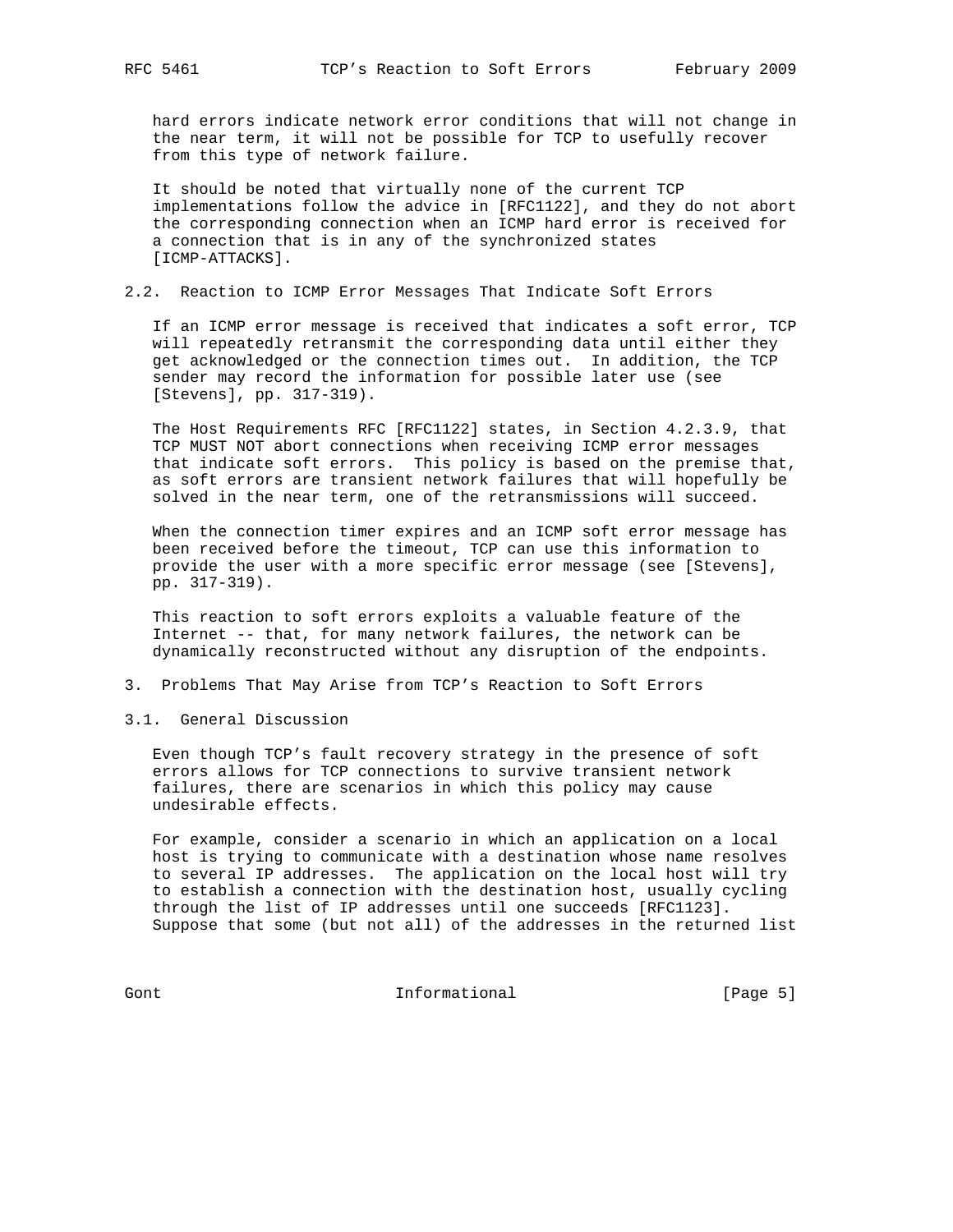hard errors indicate network error conditions that will not change in the near term, it will not be possible for TCP to usefully recover from this type of network failure.

 It should be noted that virtually none of the current TCP implementations follow the advice in [RFC1122], and they do not abort the corresponding connection when an ICMP hard error is received for a connection that is in any of the synchronized states [ICMP-ATTACKS].

#### 2.2. Reaction to ICMP Error Messages That Indicate Soft Errors

 If an ICMP error message is received that indicates a soft error, TCP will repeatedly retransmit the corresponding data until either they get acknowledged or the connection times out. In addition, the TCP sender may record the information for possible later use (see [Stevens], pp. 317-319).

 The Host Requirements RFC [RFC1122] states, in Section 4.2.3.9, that TCP MUST NOT abort connections when receiving ICMP error messages that indicate soft errors. This policy is based on the premise that, as soft errors are transient network failures that will hopefully be solved in the near term, one of the retransmissions will succeed.

 When the connection timer expires and an ICMP soft error message has been received before the timeout, TCP can use this information to provide the user with a more specific error message (see [Stevens], pp. 317-319).

 This reaction to soft errors exploits a valuable feature of the Internet -- that, for many network failures, the network can be dynamically reconstructed without any disruption of the endpoints.

- 3. Problems That May Arise from TCP's Reaction to Soft Errors
- 3.1. General Discussion

 Even though TCP's fault recovery strategy in the presence of soft errors allows for TCP connections to survive transient network failures, there are scenarios in which this policy may cause undesirable effects.

 For example, consider a scenario in which an application on a local host is trying to communicate with a destination whose name resolves to several IP addresses. The application on the local host will try to establish a connection with the destination host, usually cycling through the list of IP addresses until one succeeds [RFC1123]. Suppose that some (but not all) of the addresses in the returned list

Gont [Page 5]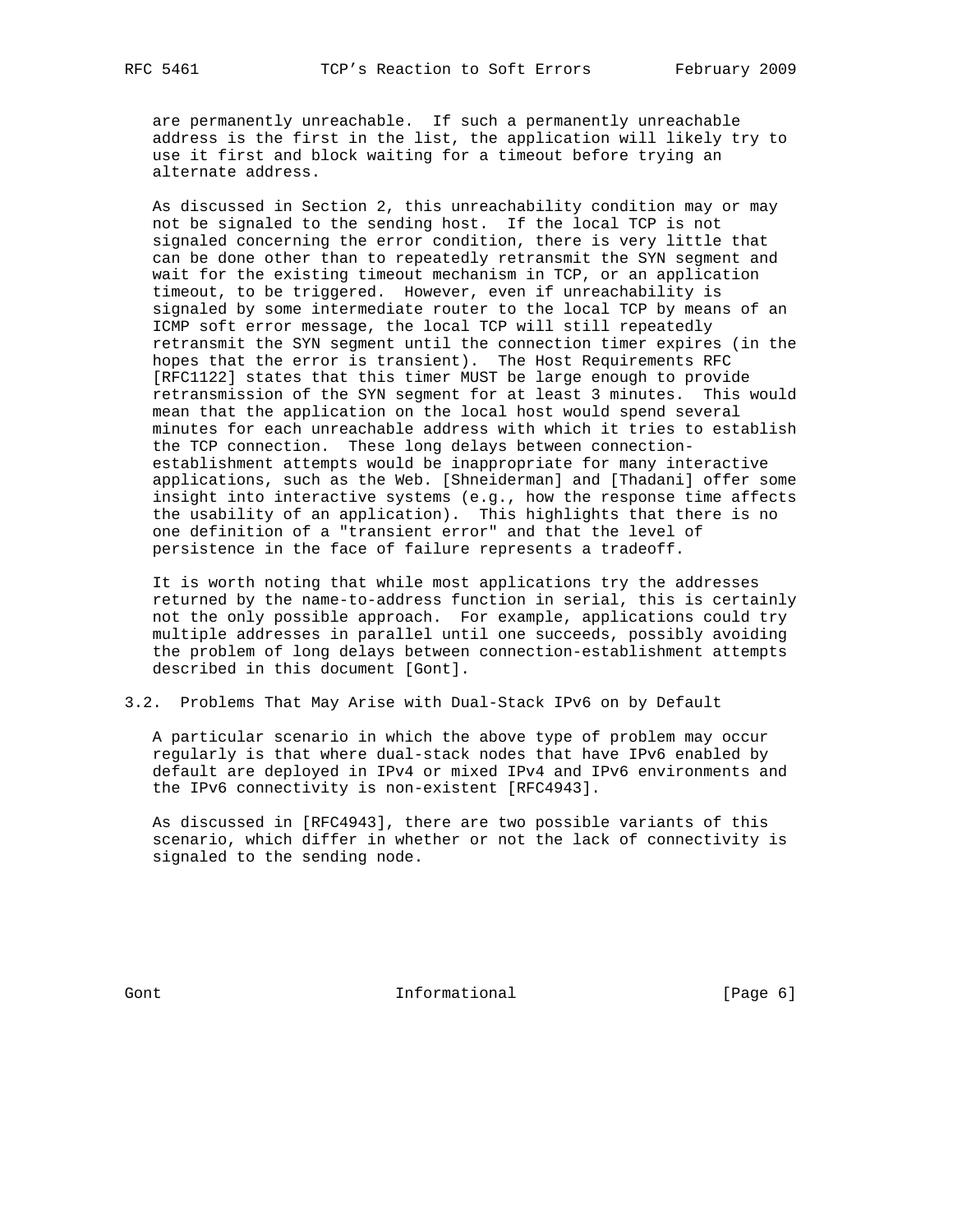are permanently unreachable. If such a permanently unreachable address is the first in the list, the application will likely try to use it first and block waiting for a timeout before trying an alternate address.

 As discussed in Section 2, this unreachability condition may or may not be signaled to the sending host. If the local TCP is not signaled concerning the error condition, there is very little that can be done other than to repeatedly retransmit the SYN segment and wait for the existing timeout mechanism in TCP, or an application timeout, to be triggered. However, even if unreachability is signaled by some intermediate router to the local TCP by means of an ICMP soft error message, the local TCP will still repeatedly retransmit the SYN segment until the connection timer expires (in the hopes that the error is transient). The Host Requirements RFC [RFC1122] states that this timer MUST be large enough to provide retransmission of the SYN segment for at least 3 minutes. This would mean that the application on the local host would spend several minutes for each unreachable address with which it tries to establish the TCP connection. These long delays between connection establishment attempts would be inappropriate for many interactive applications, such as the Web. [Shneiderman] and [Thadani] offer some insight into interactive systems (e.g., how the response time affects the usability of an application). This highlights that there is no one definition of a "transient error" and that the level of persistence in the face of failure represents a tradeoff.

 It is worth noting that while most applications try the addresses returned by the name-to-address function in serial, this is certainly not the only possible approach. For example, applications could try multiple addresses in parallel until one succeeds, possibly avoiding the problem of long delays between connection-establishment attempts described in this document [Gont].

3.2. Problems That May Arise with Dual-Stack IPv6 on by Default

 A particular scenario in which the above type of problem may occur regularly is that where dual-stack nodes that have IPv6 enabled by default are deployed in IPv4 or mixed IPv4 and IPv6 environments and the IPv6 connectivity is non-existent [RFC4943].

 As discussed in [RFC4943], there are two possible variants of this scenario, which differ in whether or not the lack of connectivity is signaled to the sending node.

Gont **Informational Informational** [Page 6]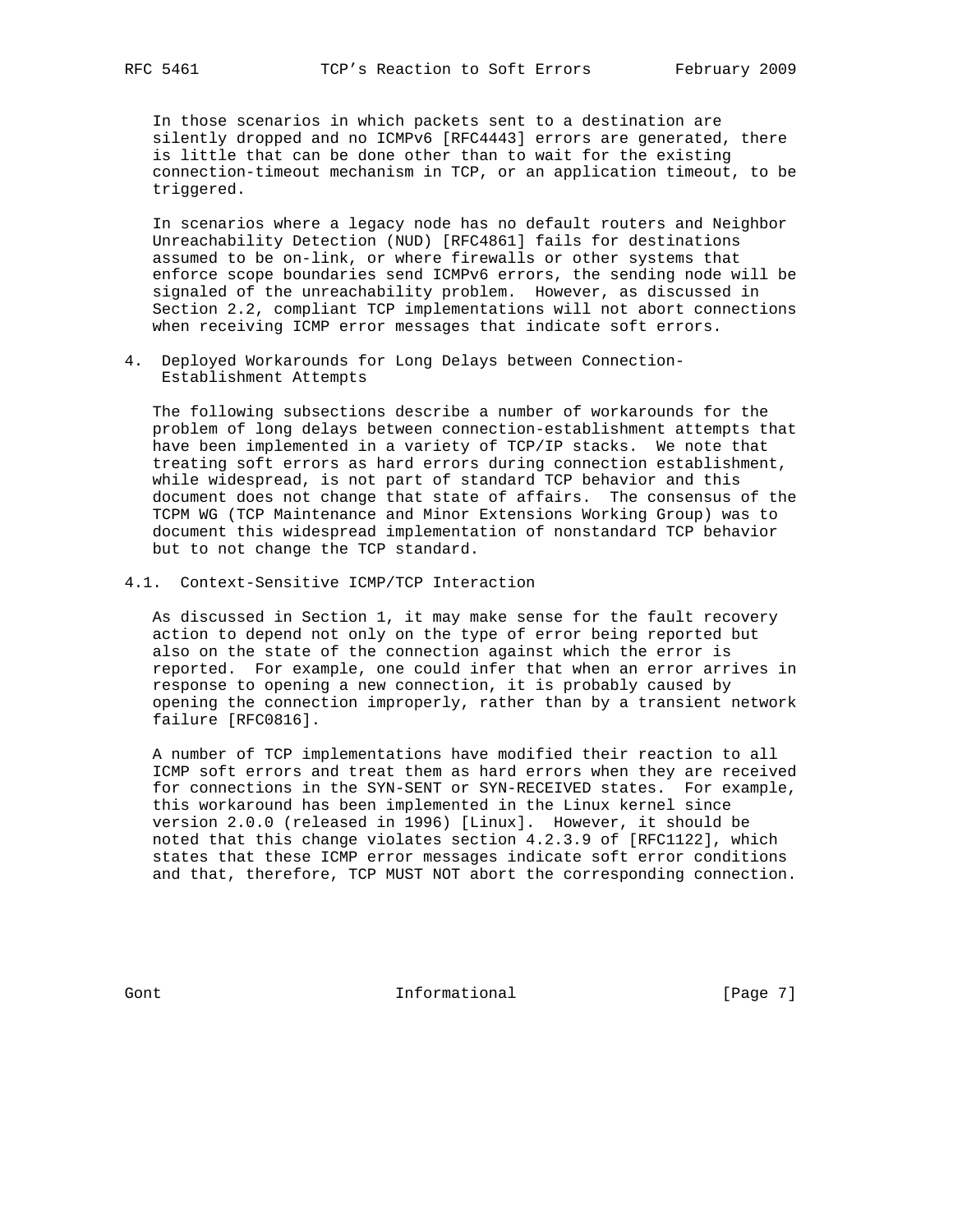In those scenarios in which packets sent to a destination are silently dropped and no ICMPv6 [RFC4443] errors are generated, there is little that can be done other than to wait for the existing connection-timeout mechanism in TCP, or an application timeout, to be triggered.

 In scenarios where a legacy node has no default routers and Neighbor Unreachability Detection (NUD) [RFC4861] fails for destinations assumed to be on-link, or where firewalls or other systems that enforce scope boundaries send ICMPv6 errors, the sending node will be signaled of the unreachability problem. However, as discussed in Section 2.2, compliant TCP implementations will not abort connections when receiving ICMP error messages that indicate soft errors.

4. Deployed Workarounds for Long Delays between Connection- Establishment Attempts

 The following subsections describe a number of workarounds for the problem of long delays between connection-establishment attempts that have been implemented in a variety of TCP/IP stacks. We note that treating soft errors as hard errors during connection establishment, while widespread, is not part of standard TCP behavior and this document does not change that state of affairs. The consensus of the TCPM WG (TCP Maintenance and Minor Extensions Working Group) was to document this widespread implementation of nonstandard TCP behavior but to not change the TCP standard.

4.1. Context-Sensitive ICMP/TCP Interaction

 As discussed in Section 1, it may make sense for the fault recovery action to depend not only on the type of error being reported but also on the state of the connection against which the error is reported. For example, one could infer that when an error arrives in response to opening a new connection, it is probably caused by opening the connection improperly, rather than by a transient network failure [RFC0816].

 A number of TCP implementations have modified their reaction to all ICMP soft errors and treat them as hard errors when they are received for connections in the SYN-SENT or SYN-RECEIVED states. For example, this workaround has been implemented in the Linux kernel since version 2.0.0 (released in 1996) [Linux]. However, it should be noted that this change violates section 4.2.3.9 of [RFC1122], which states that these ICMP error messages indicate soft error conditions and that, therefore, TCP MUST NOT abort the corresponding connection.

Gont 10 Cont 100 Cont 100 Cont 11 Contractional (Page 7)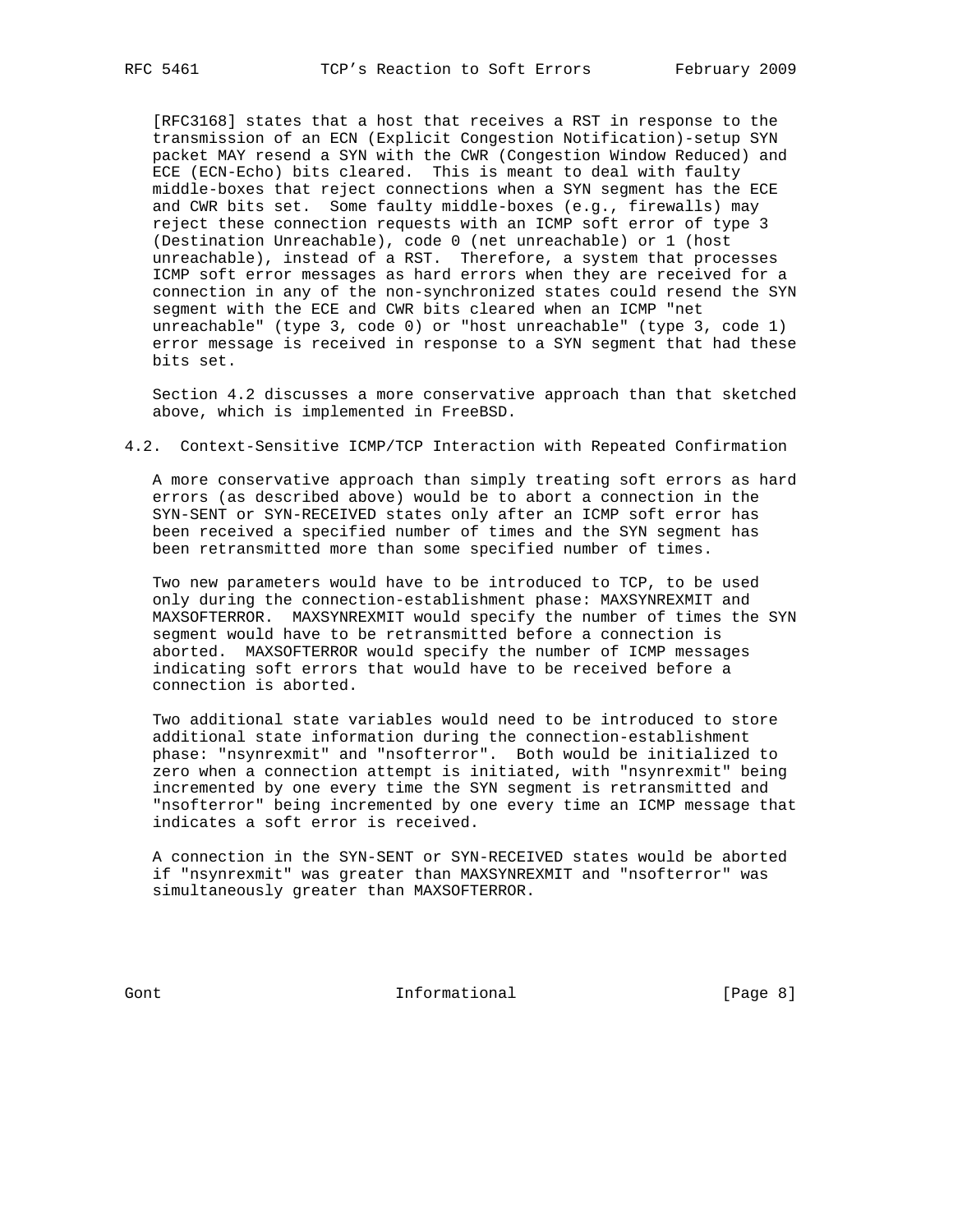[RFC3168] states that a host that receives a RST in response to the transmission of an ECN (Explicit Congestion Notification)-setup SYN packet MAY resend a SYN with the CWR (Congestion Window Reduced) and ECE (ECN-Echo) bits cleared. This is meant to deal with faulty middle-boxes that reject connections when a SYN segment has the ECE and CWR bits set. Some faulty middle-boxes (e.g., firewalls) may reject these connection requests with an ICMP soft error of type 3 (Destination Unreachable), code 0 (net unreachable) or 1 (host unreachable), instead of a RST. Therefore, a system that processes ICMP soft error messages as hard errors when they are received for a connection in any of the non-synchronized states could resend the SYN segment with the ECE and CWR bits cleared when an ICMP "net unreachable" (type 3, code 0) or "host unreachable" (type 3, code 1) error message is received in response to a SYN segment that had these bits set.

 Section 4.2 discusses a more conservative approach than that sketched above, which is implemented in FreeBSD.

#### 4.2. Context-Sensitive ICMP/TCP Interaction with Repeated Confirmation

 A more conservative approach than simply treating soft errors as hard errors (as described above) would be to abort a connection in the SYN-SENT or SYN-RECEIVED states only after an ICMP soft error has been received a specified number of times and the SYN segment has been retransmitted more than some specified number of times.

 Two new parameters would have to be introduced to TCP, to be used only during the connection-establishment phase: MAXSYNREXMIT and MAXSOFTERROR. MAXSYNREXMIT would specify the number of times the SYN segment would have to be retransmitted before a connection is aborted. MAXSOFTERROR would specify the number of ICMP messages indicating soft errors that would have to be received before a connection is aborted.

 Two additional state variables would need to be introduced to store additional state information during the connection-establishment phase: "nsynrexmit" and "nsofterror". Both would be initialized to zero when a connection attempt is initiated, with "nsynrexmit" being incremented by one every time the SYN segment is retransmitted and "nsofterror" being incremented by one every time an ICMP message that indicates a soft error is received.

 A connection in the SYN-SENT or SYN-RECEIVED states would be aborted if "nsynrexmit" was greater than MAXSYNREXMIT and "nsofterror" was simultaneously greater than MAXSOFTERROR.

Gont **Informational Informational** [Page 8]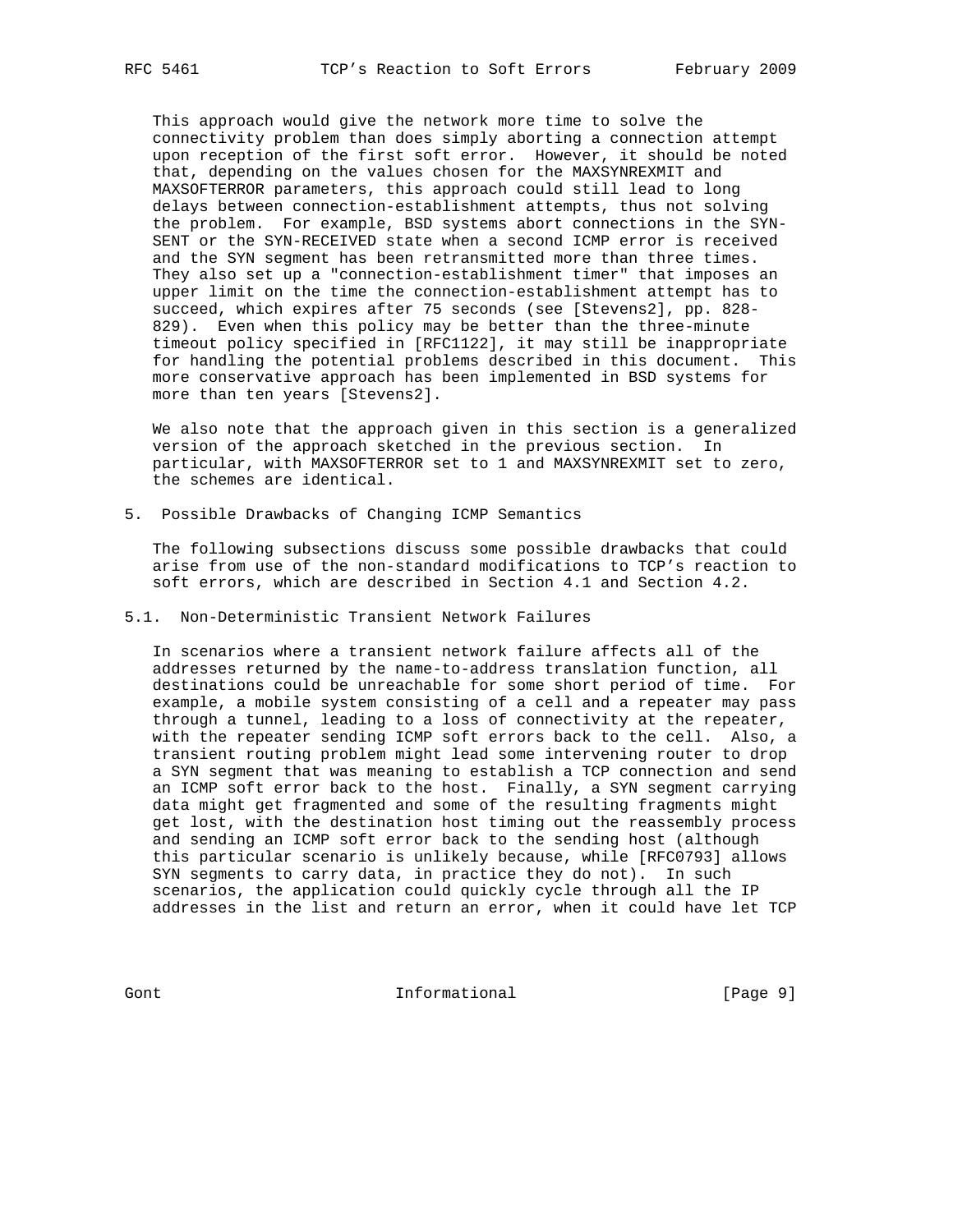This approach would give the network more time to solve the connectivity problem than does simply aborting a connection attempt upon reception of the first soft error. However, it should be noted that, depending on the values chosen for the MAXSYNREXMIT and MAXSOFTERROR parameters, this approach could still lead to long delays between connection-establishment attempts, thus not solving the problem. For example, BSD systems abort connections in the SYN- SENT or the SYN-RECEIVED state when a second ICMP error is received and the SYN segment has been retransmitted more than three times. They also set up a "connection-establishment timer" that imposes an upper limit on the time the connection-establishment attempt has to succeed, which expires after 75 seconds (see [Stevens2], pp. 828- 829). Even when this policy may be better than the three-minute timeout policy specified in [RFC1122], it may still be inappropriate for handling the potential problems described in this document. This more conservative approach has been implemented in BSD systems for more than ten years [Stevens2].

 We also note that the approach given in this section is a generalized version of the approach sketched in the previous section. In particular, with MAXSOFTERROR set to 1 and MAXSYNREXMIT set to zero, the schemes are identical.

5. Possible Drawbacks of Changing ICMP Semantics

 The following subsections discuss some possible drawbacks that could arise from use of the non-standard modifications to TCP's reaction to soft errors, which are described in Section 4.1 and Section 4.2.

5.1. Non-Deterministic Transient Network Failures

 In scenarios where a transient network failure affects all of the addresses returned by the name-to-address translation function, all destinations could be unreachable for some short period of time. For example, a mobile system consisting of a cell and a repeater may pass through a tunnel, leading to a loss of connectivity at the repeater, with the repeater sending ICMP soft errors back to the cell. Also, a transient routing problem might lead some intervening router to drop a SYN segment that was meaning to establish a TCP connection and send an ICMP soft error back to the host. Finally, a SYN segment carrying data might get fragmented and some of the resulting fragments might get lost, with the destination host timing out the reassembly process and sending an ICMP soft error back to the sending host (although this particular scenario is unlikely because, while [RFC0793] allows SYN segments to carry data, in practice they do not). In such scenarios, the application could quickly cycle through all the IP addresses in the list and return an error, when it could have let TCP

Gont 1nformational [Page 9]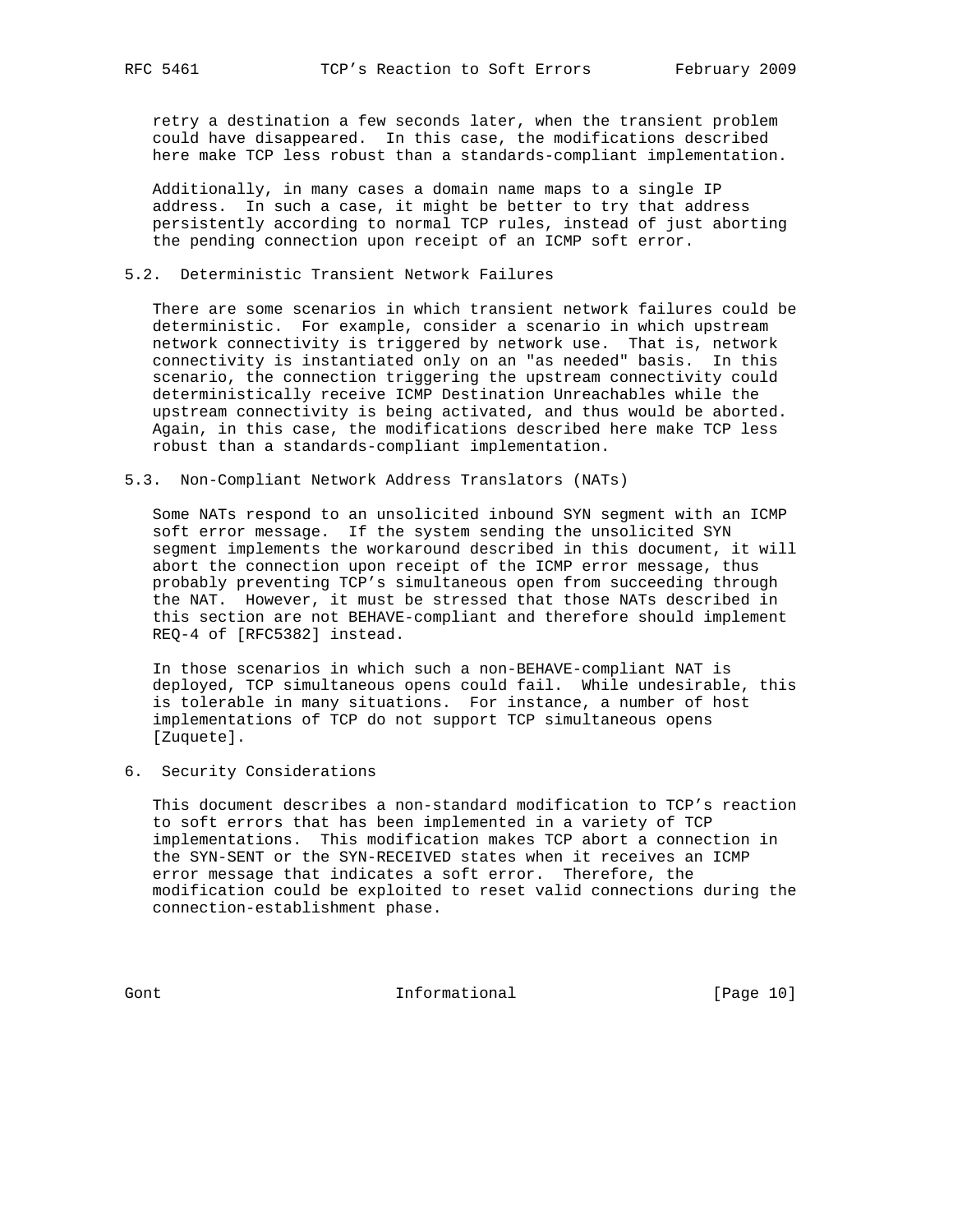retry a destination a few seconds later, when the transient problem could have disappeared. In this case, the modifications described here make TCP less robust than a standards-compliant implementation.

 Additionally, in many cases a domain name maps to a single IP address. In such a case, it might be better to try that address persistently according to normal TCP rules, instead of just aborting the pending connection upon receipt of an ICMP soft error.

### 5.2. Deterministic Transient Network Failures

 There are some scenarios in which transient network failures could be deterministic. For example, consider a scenario in which upstream network connectivity is triggered by network use. That is, network connectivity is instantiated only on an "as needed" basis. In this scenario, the connection triggering the upstream connectivity could deterministically receive ICMP Destination Unreachables while the upstream connectivity is being activated, and thus would be aborted. Again, in this case, the modifications described here make TCP less robust than a standards-compliant implementation.

#### 5.3. Non-Compliant Network Address Translators (NATs)

 Some NATs respond to an unsolicited inbound SYN segment with an ICMP soft error message. If the system sending the unsolicited SYN segment implements the workaround described in this document, it will abort the connection upon receipt of the ICMP error message, thus probably preventing TCP's simultaneous open from succeeding through the NAT. However, it must be stressed that those NATs described in this section are not BEHAVE-compliant and therefore should implement REQ-4 of [RFC5382] instead.

 In those scenarios in which such a non-BEHAVE-compliant NAT is deployed, TCP simultaneous opens could fail. While undesirable, this is tolerable in many situations. For instance, a number of host implementations of TCP do not support TCP simultaneous opens [Zuquete].

6. Security Considerations

 This document describes a non-standard modification to TCP's reaction to soft errors that has been implemented in a variety of TCP implementations. This modification makes TCP abort a connection in the SYN-SENT or the SYN-RECEIVED states when it receives an ICMP error message that indicates a soft error. Therefore, the modification could be exploited to reset valid connections during the connection-establishment phase.

Gont 101 Cont Informational [Page 10]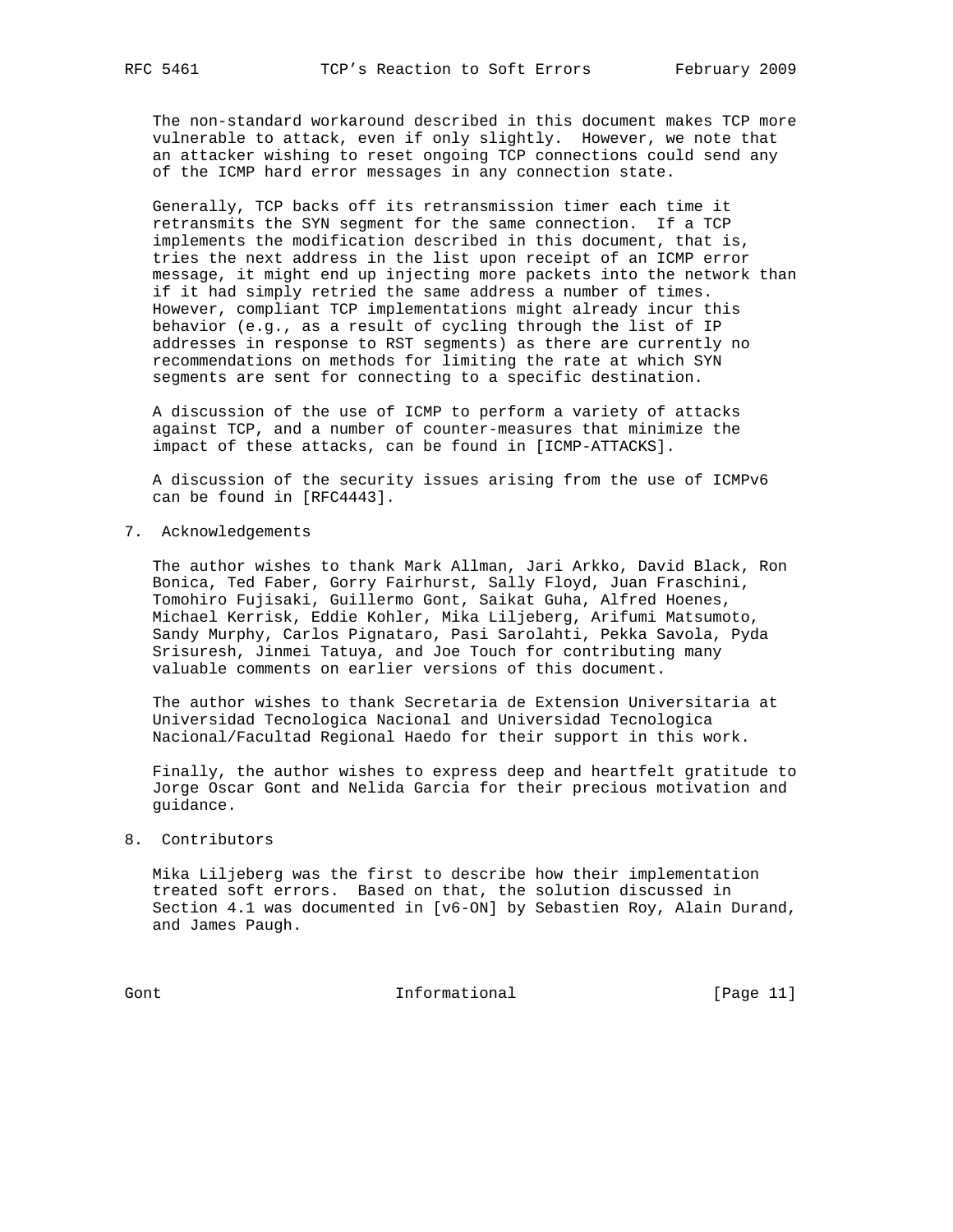The non-standard workaround described in this document makes TCP more vulnerable to attack, even if only slightly. However, we note that an attacker wishing to reset ongoing TCP connections could send any of the ICMP hard error messages in any connection state.

 Generally, TCP backs off its retransmission timer each time it retransmits the SYN segment for the same connection. If a TCP implements the modification described in this document, that is, tries the next address in the list upon receipt of an ICMP error message, it might end up injecting more packets into the network than if it had simply retried the same address a number of times. However, compliant TCP implementations might already incur this behavior (e.g., as a result of cycling through the list of IP addresses in response to RST segments) as there are currently no recommendations on methods for limiting the rate at which SYN segments are sent for connecting to a specific destination.

 A discussion of the use of ICMP to perform a variety of attacks against TCP, and a number of counter-measures that minimize the impact of these attacks, can be found in [ICMP-ATTACKS].

 A discussion of the security issues arising from the use of ICMPv6 can be found in [RFC4443].

7. Acknowledgements

 The author wishes to thank Mark Allman, Jari Arkko, David Black, Ron Bonica, Ted Faber, Gorry Fairhurst, Sally Floyd, Juan Fraschini, Tomohiro Fujisaki, Guillermo Gont, Saikat Guha, Alfred Hoenes, Michael Kerrisk, Eddie Kohler, Mika Liljeberg, Arifumi Matsumoto, Sandy Murphy, Carlos Pignataro, Pasi Sarolahti, Pekka Savola, Pyda Srisuresh, Jinmei Tatuya, and Joe Touch for contributing many valuable comments on earlier versions of this document.

 The author wishes to thank Secretaria de Extension Universitaria at Universidad Tecnologica Nacional and Universidad Tecnologica Nacional/Facultad Regional Haedo for their support in this work.

 Finally, the author wishes to express deep and heartfelt gratitude to Jorge Oscar Gont and Nelida Garcia for their precious motivation and guidance.

### 8. Contributors

 Mika Liljeberg was the first to describe how their implementation treated soft errors. Based on that, the solution discussed in Section 4.1 was documented in [v6-ON] by Sebastien Roy, Alain Durand, and James Paugh.

Gont Informational [Page 11]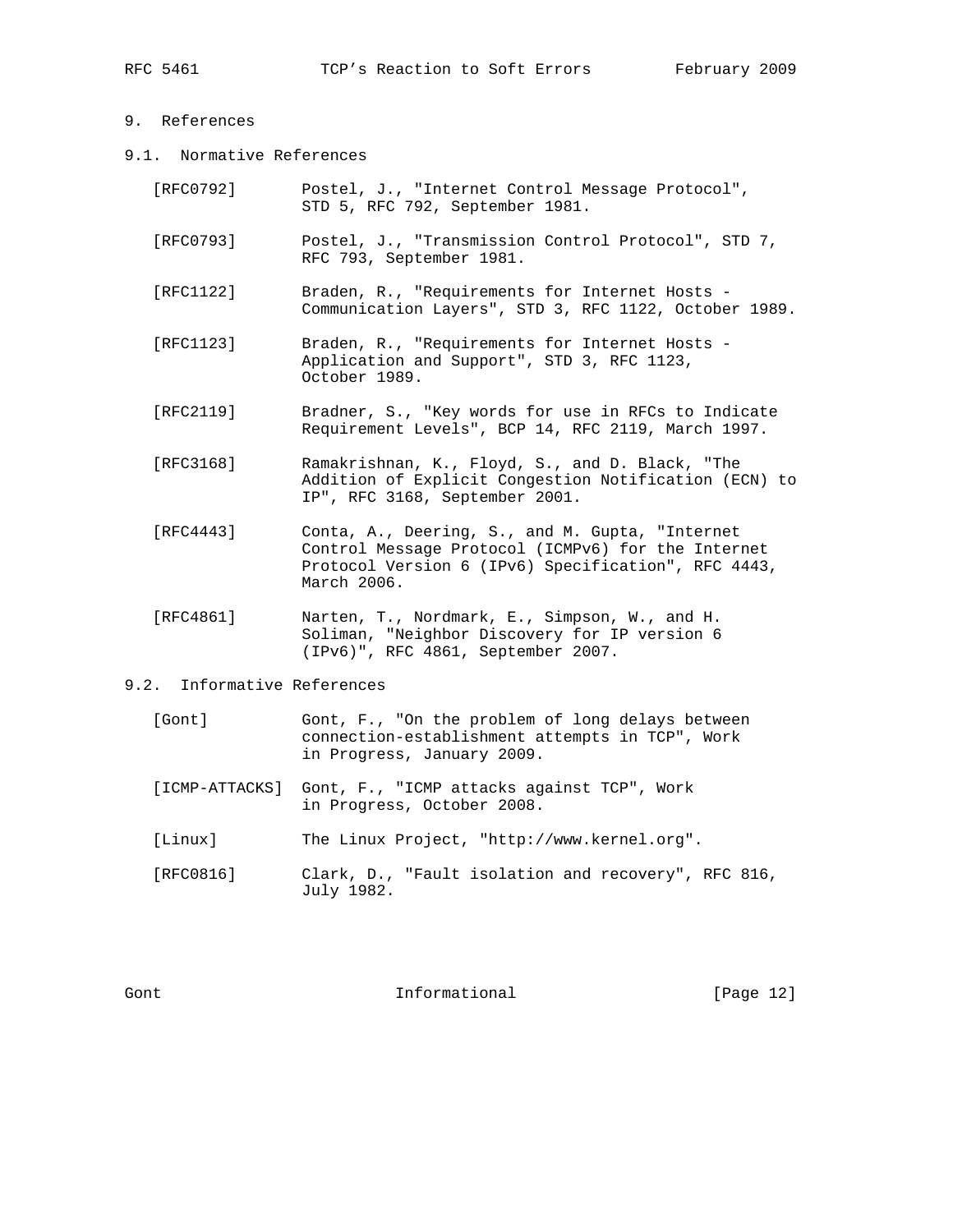# 9. References

9.1. Normative References

| [RFC0792] | Postel, J., "Internet Control Message Protocol",<br>STD 5, RFC 792, September 1981.                                                                                         |
|-----------|-----------------------------------------------------------------------------------------------------------------------------------------------------------------------------|
| [RFC0793] | Postel, J., "Transmission Control Protocol", STD 7,<br>RFC 793, September 1981.                                                                                             |
| [RFC1122] | Braden, R., "Requirements for Internet Hosts -<br>Communication Layers", STD 3, RFC 1122, October 1989.                                                                     |
| [RFC1123] | Braden, R., "Requirements for Internet Hosts -<br>Application and Support", STD 3, RFC 1123,<br>October 1989.                                                               |
| [RFC2119] | Bradner, S., "Key words for use in RFCs to Indicate<br>Requirement Levels", BCP 14, RFC 2119, March 1997.                                                                   |
| [RFC3168] | Ramakrishnan, K., Floyd, S., and D. Black, "The<br>Addition of Explicit Congestion Notification (ECN) to<br>IP", RFC 3168, September 2001.                                  |
| [RFC4443] | Conta, A., Deering, S., and M. Gupta, "Internet<br>Control Message Protocol (ICMPv6) for the Internet<br>Protocol Version 6 (IPv6) Specification", RFC 4443,<br>March 2006. |
| [RFC4861] | Narten, T., Nordmark, E., Simpson, W., and H.<br>Soliman, "Neighbor Discovery for IP version 6<br>(IPv6)", RFC 4861, September 2007.                                        |
|           |                                                                                                                                                                             |

## 9.2. Informative References

| [Gont] | Gont, F., "On the problem of long delays between |
|--------|--------------------------------------------------|
|        | connection-establishment attempts in TCP", Work  |
|        | in Progress, January 2009.                       |

- [ICMP-ATTACKS] Gont, F., "ICMP attacks against TCP", Work in Progress, October 2008.
- [Linux] The Linux Project, "http://www.kernel.org".
- [RFC0816] Clark, D., "Fault isolation and recovery", RFC 816, July 1982.

Gont **Informational Informational** [Page 12]